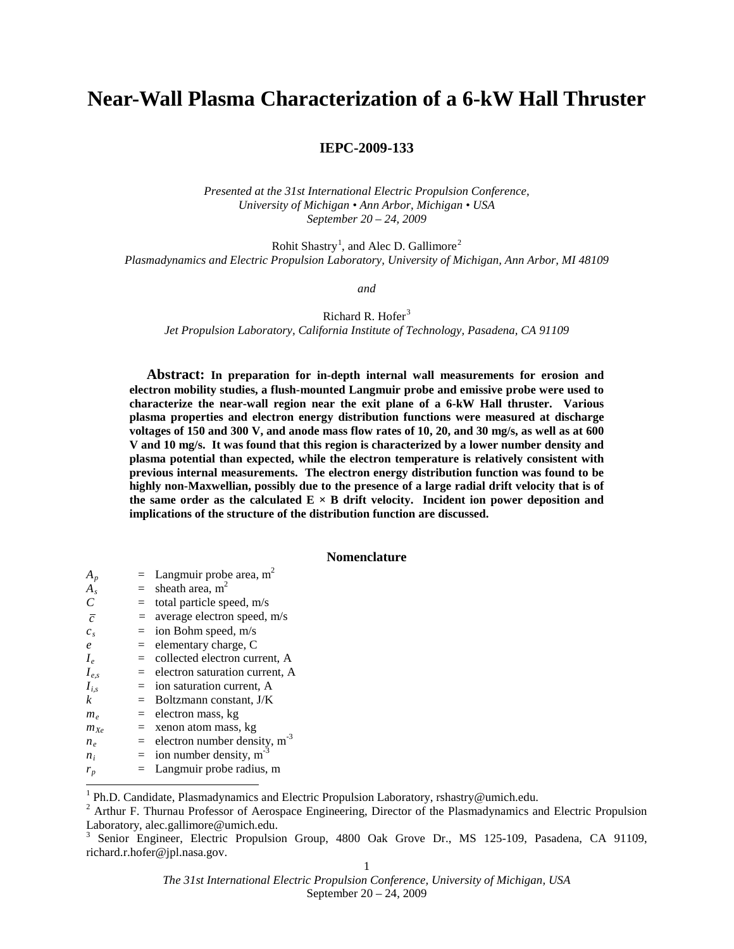# **Near-Wall Plasma Characterization of a 6-kW Hall Thruster**

# **IEPC-2009-133**

*Presented at the 31st International Electric Propulsion Conference, University of Michigan • Ann Arbor, Michigan • USA September 20 – 24, 2009*

Rohit Shastry<sup>[1](#page-0-0)</sup>, and Alec D. Gallimore<sup>[2](#page-0-1)</sup> *Plasmadynamics and Electric Propulsion Laboratory, University of Michigan, Ann Arbor, MI 48109*

*and*

Richard R. Hofer<sup>[3](#page-0-2)</sup>

*Jet Propulsion Laboratory, California Institute of Technology, Pasadena, CA 91109*

**Abstract: In preparation for in-depth internal wall measurements for erosion and electron mobility studies, a flush-mounted Langmuir probe and emissive probe were used to characterize the near-wall region near the exit plane of a 6-kW Hall thruster. Various plasma properties and electron energy distribution functions were measured at discharge voltages of 150 and 300 V, and anode mass flow rates of 10, 20, and 30 mg/s, as well as at 600 V and 10 mg/s. It was found that this region is characterized by a lower number density and plasma potential than expected, while the electron temperature is relatively consistent with previous internal measurements. The electron energy distribution function was found to be highly non-Maxwellian, possibly due to the presence of a large radial drift velocity that is of**  the same order as the calculated  $E \times B$  drift velocity. Incident ion power deposition and **implications of the structure of the distribution function are discussed.** 

# **Nomenclature**

| $A_p$          | $=$ Langmuir probe area, m <sup>2</sup>      |
|----------------|----------------------------------------------|
| $A_{s}$        | $=$ sheath area, m <sup>2</sup>              |
|                | $=$ total particle speed, m/s                |
| $\overline{c}$ | $=$ average electron speed, m/s              |
| $c_s$          | $=$ ion Bohm speed, m/s                      |
| $\epsilon$     | $=$ elementary charge, C                     |
| $I_e$          | $=$ collected electron current, A            |
| $I_{e,s}$      | $=$ electron saturation current, A           |
| $I_{i,s}$      | $=$ ion saturation current, A                |
| k              | $=$ Boltzmann constant, $J/K$                |
| $m_e$          | $=$ electron mass, kg                        |
| $m_{Xe}$       | $=$ xenon atom mass, kg                      |
| $n_e$          | $=$ electron number density, m <sup>-3</sup> |
| $n_i$          | $=$ ion number density, m <sup>-3</sup>      |
| $r_p$          | $=$ Langmuir probe radius, m                 |

<span id="page-0-1"></span><span id="page-0-0"></span><sup>&</sup>lt;sup>1</sup> Ph.D. Candidate, Plasmadynamics and Electric Propulsion Laboratory, rshastry@umich.edu.<br><sup>2</sup> Arthur F. Thurnau Professor of Aerospace Engineering, Director of the Plasmadynamics and Electric Propulsion Laboratory, alec

<span id="page-0-2"></span><sup>&</sup>lt;sup>3</sup> Senior Engineer, Electric Propulsion Group, 4800 Oak Grove Dr., MS 125-109, Pasadena, CA 91109, richard.r.hofer@jpl.nasa.gov.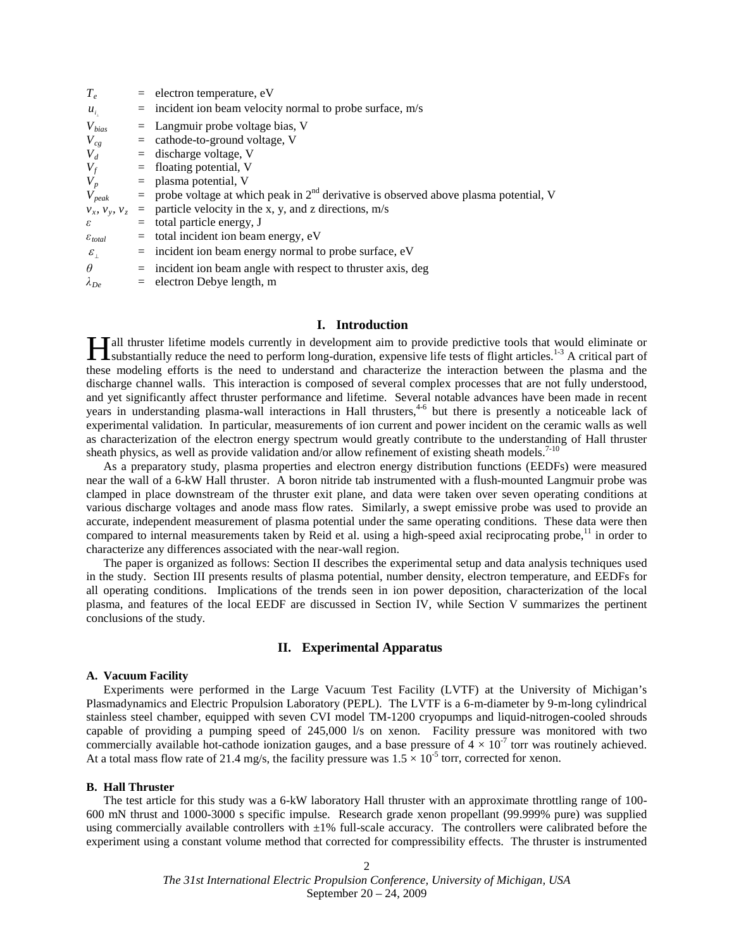| $T_e$                                | $=$ electron temperature, eV                                                                                 |
|--------------------------------------|--------------------------------------------------------------------------------------------------------------|
| $u_{i}$                              | $=$ incident ion beam velocity normal to probe surface, m/s                                                  |
| $V_{bias}$                           | $=$ Langmuir probe voltage bias, V                                                                           |
| $V_{cg}$                             | $=$ cathode-to-ground voltage, V                                                                             |
| $V_d$                                | $=$ discharge voltage, V                                                                                     |
| $V_f$                                | $=$ floating potential, V                                                                                    |
| $V_p$                                | $=$ plasma potential, V                                                                                      |
|                                      | $V_{peak}$ = probe voltage at which peak in 2 <sup>nd</sup> derivative is observed above plasma potential, V |
|                                      | $v_x$ , $v_y$ , $v_z$ = particle velocity in the x, y, and z directions, m/s                                 |
| ε                                    | $=$ total particle energy, J                                                                                 |
| $\varepsilon_{total}$                | $=$ total incident ion beam energy, eV                                                                       |
| $\varepsilon_{\scriptscriptstyle +}$ | $=$ incident ion beam energy normal to probe surface, eV                                                     |
| $\theta$                             | $=$ incident ion beam angle with respect to thruster axis, deg                                               |
| $\lambda_{De}$                       | $=$ electron Debye length, m                                                                                 |
|                                      |                                                                                                              |

#### **I. Introduction**

Tall thruster lifetime models currently in development aim to provide predictive tools that would eliminate or **IT** all thruster lifetime models currently in development aim to provide predictive tools that would eliminate or substantially reduce the need to perform long-duration, expensive life tests of flight articles.<sup>1-3</sup> A cri these modeling efforts is the need to understand and characterize the interaction between the plasma and the discharge channel walls. This interaction is composed of several complex processes that are not fully understood, and yet significantly affect thruster performance and lifetime. Several notable advances have been made in recent years in understanding plasma-wall interactions in Hall thrusters,<sup>46</sup> but there is presently a noticeable lack of experimental validation. In particular, measurements of ion current and power incident on the ceramic walls as well as characterization of the electron energy spectrum would greatly contribute to the understanding of Hall thruster sheath physics, as well as provide validation and/or allow refinement of existing sheath models.<sup>7-10</sup>

As a preparatory study, plasma properties and electron energy distribution functions (EEDFs) were measured near the wall of a 6-kW Hall thruster. A boron nitride tab instrumented with a flush-mounted Langmuir probe was clamped in place downstream of the thruster exit plane, and data were taken over seven operating conditions at various discharge voltages and anode mass flow rates. Similarly, a swept emissive probe was used to provide an accurate, independent measurement of plasma potential under the same operating conditions. These data were then compared to internal measurements taken by Reid et al. using a high-speed axial reciprocating probe,<sup>11</sup> in order to characterize any differences associated with the near-wall region.

The paper is organized as follows: Section II describes the experimental setup and data analysis techniques used in the study. Section III presents results of plasma potential, number density, electron temperature, and EEDFs for all operating conditions. Implications of the trends seen in ion power deposition, characterization of the local plasma, and features of the local EEDF are discussed in Section IV, while Section V summarizes the pertinent conclusions of the study.

## **II. Experimental Apparatus**

#### **A. Vacuum Facility**

Experiments were performed in the Large Vacuum Test Facility (LVTF) at the University of Michigan's Plasmadynamics and Electric Propulsion Laboratory (PEPL). The LVTF is a 6-m-diameter by 9-m-long cylindrical stainless steel chamber, equipped with seven CVI model TM-1200 cryopumps and liquid-nitrogen-cooled shrouds capable of providing a pumping speed of 245,000 l/s on xenon. Facility pressure was monitored with two commercially available hot-cathode ionization gauges, and a base pressure of  $4 \times 10^{-7}$  torr was routinely achieved. At a total mass flow rate of 21.4 mg/s, the facility pressure was  $1.5 \times 10^{-5}$  torr, corrected for xenon.

#### **B. Hall Thruster**

The test article for this study was a 6-kW laboratory Hall thruster with an approximate throttling range of 100- 600 mN thrust and 1000-3000 s specific impulse. Research grade xenon propellant (99.999% pure) was supplied using commercially available controllers with  $\pm 1\%$  full-scale accuracy. The controllers were calibrated before the experiment using a constant volume method that corrected for compressibility effects. The thruster is instrumented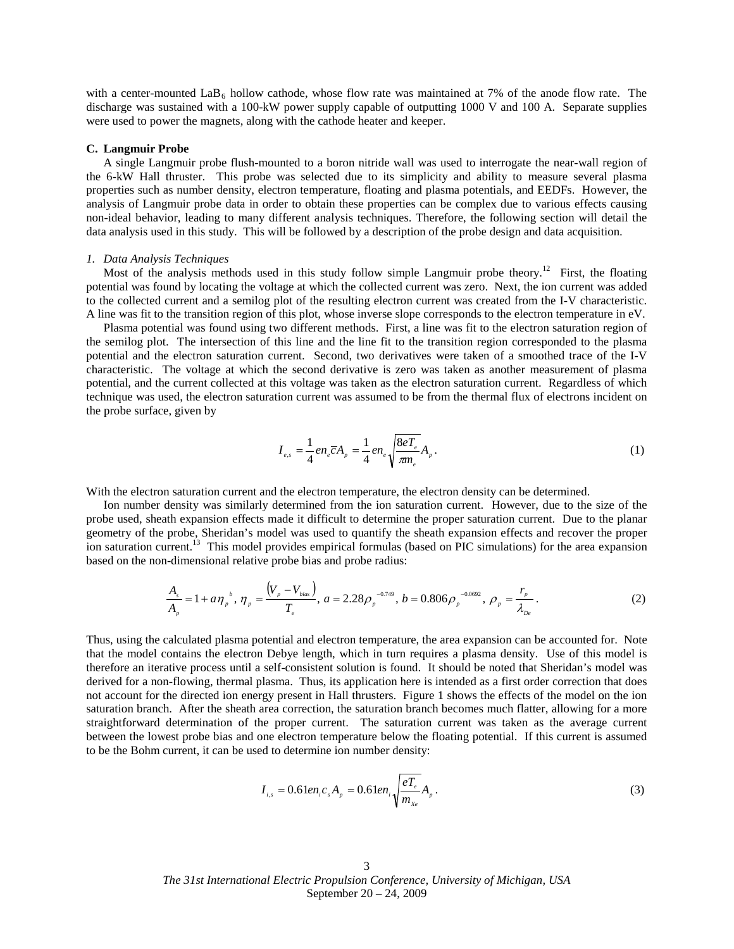with a center-mounted  $\text{LaB}_6$  hollow cathode, whose flow rate was maintained at 7% of the anode flow rate. The discharge was sustained with a 100-kW power supply capable of outputting 1000 V and 100 A. Separate supplies were used to power the magnets, along with the cathode heater and keeper.

#### **C. Langmuir Probe**

A single Langmuir probe flush-mounted to a boron nitride wall was used to interrogate the near-wall region of the 6-kW Hall thruster. This probe was selected due to its simplicity and ability to measure several plasma properties such as number density, electron temperature, floating and plasma potentials, and EEDFs. However, the analysis of Langmuir probe data in order to obtain these properties can be complex due to various effects causing non-ideal behavior, leading to many different analysis techniques. Therefore, the following section will detail the data analysis used in this study. This will be followed by a description of the probe design and data acquisition.

#### *1. Data Analysis Techniques*

Most of the analysis methods used in this study follow simple Langmuir probe theory.<sup>12</sup> First, the floating potential was found by locating the voltage at which the collected current was zero. Next, the ion current was added to the collected current and a semilog plot of the resulting electron current was created from the I-V characteristic. A line was fit to the transition region of this plot, whose inverse slope corresponds to the electron temperature in eV.

Plasma potential was found using two different methods. First, a line was fit to the electron saturation region of the semilog plot. The intersection of this line and the line fit to the transition region corresponded to the plasma potential and the electron saturation current. Second, two derivatives were taken of a smoothed trace of the I-V characteristic. The voltage at which the second derivative is zero was taken as another measurement of plasma potential, and the current collected at this voltage was taken as the electron saturation current. Regardless of which technique was used, the electron saturation current was assumed to be from the thermal flux of electrons incident on the probe surface, given by

$$
I_{e,s} = \frac{1}{4} e n_e \overline{c} A_p = \frac{1}{4} e n_e \sqrt{\frac{8e T_e}{\pi n_e}} A_p.
$$
 (1)

With the electron saturation current and the electron temperature, the electron density can be determined.

Ion number density was similarly determined from the ion saturation current. However, due to the size of the probe used, sheath expansion effects made it difficult to determine the proper saturation current. Due to the planar geometry of the probe, Sheridan's model was used to quantify the sheath expansion effects and recover the proper ion saturation current.<sup>13</sup> This model provides empirical formulas (based on PIC simulations) for the area expansion based on the non-dimensional relative probe bias and probe radius:

$$
\frac{A_s}{A_p} = 1 + a\eta_p^b, \eta_p = \frac{(V_p - V_{bias})}{T_e}, a = 2.28\rho_p^{-0.749}, b = 0.806\rho_p^{-0.0692}, \rho_p = \frac{r_p}{\lambda_{De}}.
$$
\n(2)

Thus, using the calculated plasma potential and electron temperature, the area expansion can be accounted for. Note that the model contains the electron Debye length, which in turn requires a plasma density. Use of this model is therefore an iterative process until a self-consistent solution is found. It should be noted that Sheridan's model was derived for a non-flowing, thermal plasma. Thus, its application here is intended as a first order correction that does not account for the directed ion energy present in Hall thrusters. [Figure 1](#page-3-0) shows the effects of the model on the ion saturation branch. After the sheath area correction, the saturation branch becomes much flatter, allowing for a more straightforward determination of the proper current. The saturation current was taken as the average current between the lowest probe bias and one electron temperature below the floating potential. If this current is assumed to be the Bohm current, it can be used to determine ion number density:

$$
I_{i,s} = 0.61 e n_i c_s A_p = 0.61 e n_i \sqrt{\frac{e T_e}{m_{Xe}}} A_p.
$$
 (3)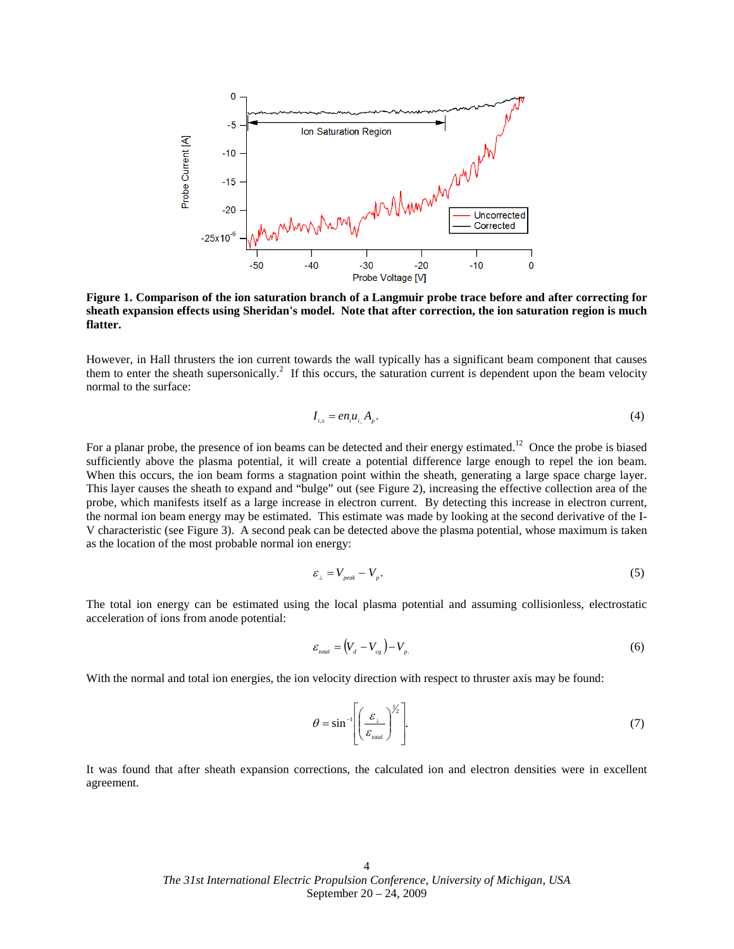

<span id="page-3-0"></span>**Figure 1. Comparison of the ion saturation branch of a Langmuir probe trace before and after correcting for sheath expansion effects using Sheridan's model. Note that after correction, the ion saturation region is much flatter.**

However, in Hall thrusters the ion current towards the wall typically has a significant beam component that causes them to enter the sheath supersonically.<sup>2</sup> If this occurs, the saturation current is dependent upon the beam velocity normal to the surface:

$$
I_{i,s} = en_i u_{i} A_p. \tag{4}
$$

For a planar probe, the presence of ion beams can be detected and their energy estimated.<sup>12</sup> Once the probe is biased This layer causes the sheath to expand and "bulge" out (see Figure 2), increasing the effective collection area of the sufficiently above the plasma potential, it will create a potential difference large enough to repel the ion beam. When this occurs, the ion beam forms a stagnation point within the sheath, generating a large space charge layer. probe, which manifests itself as a large increase in electron current. By detecting this increase in electron current, the normal ion beam energy may be estimated. This estimate was made by looking at the second derivative of the I-V characteristic (see [Figure 3\)](#page-4-1). A second peak can be detected above the plasma potential, whose maximum is taken as the location of the most probable normal ion energy:

$$
\varepsilon_{\perp} = V_{\text{peak}} - V_{\text{p}}.\tag{5}
$$

The total ion energy can be estimated using the local plasma potential and assuming collisionless, electrostatic acceleration of ions from anode potential:

$$
\varepsilon_{\text{total}} = (V_d - V_{cg}) - V_{p.} \tag{6}
$$

With the normal and total ion energies, the ion velocity direction with respect to thruster axis may be found:

$$
\theta = \sin^{-1}\left[\left(\frac{\mathcal{E}_{\perp}}{\mathcal{E}_{total}}\right)^{1/2}\right].
$$
\n(7)

It was found that after sheath expansion corrections, the calculated ion and electron densities were in excellent agreement.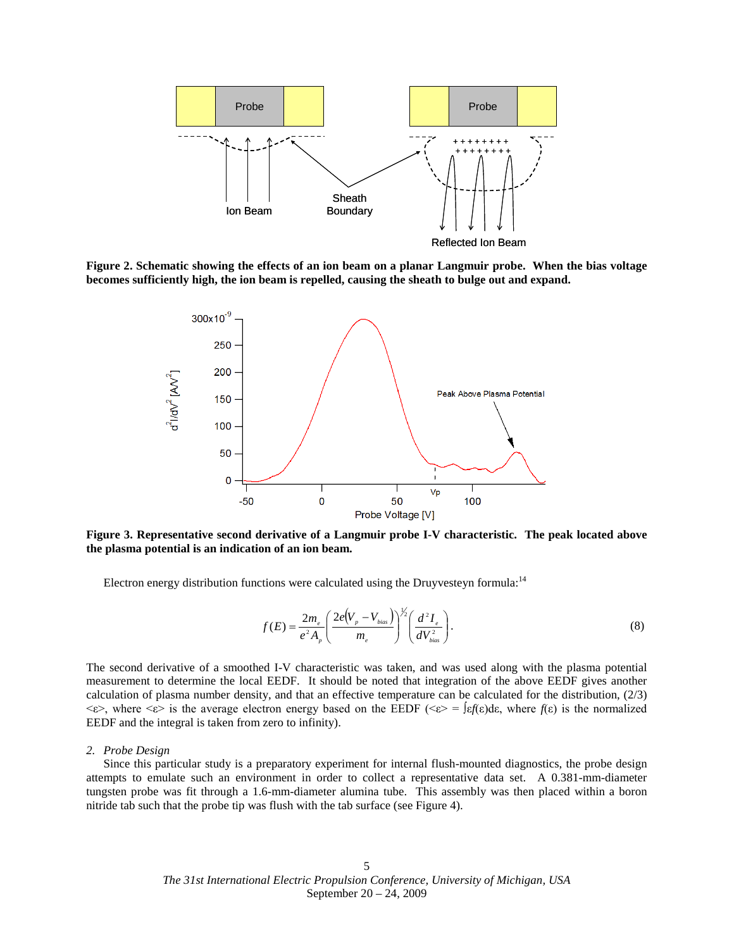

<span id="page-4-0"></span>**Figure 2. Schematic showing the effects of an ion beam on a planar Langmuir probe. When the bias voltage becomes sufficiently high, the ion beam is repelled, causing the sheath to bulge out and expand.**



<span id="page-4-1"></span>**Figure 3. Representative second derivative of a Langmuir probe I-V characteristic. The peak located above the plasma potential is an indication of an ion beam.**

Electron energy distribution functions were calculated using the Druyvesteyn formula:<sup>14</sup>

$$
f(E) = \frac{2m_e}{e^2 A_p} \left( \frac{2e(V_p - V_{bias})}{m_e} \right)^{\frac{1}{2}} \left( \frac{d^2 I_e}{dV_{bias}^2} \right). \tag{8}
$$

The second derivative of a smoothed I-V characteristic was taken, and was used along with the plasma potential measurement to determine the local EEDF. It should be noted that integration of the above EEDF gives another calculation of plasma number density, and that an effective temperature can be calculated for the distribution, (2/3)  $\langle \varepsilon \rangle$ , where  $\langle \varepsilon \rangle$  is the average electron energy based on the EEDF ( $\langle \varepsilon \rangle = \int \varepsilon f(\varepsilon) d\varepsilon$ , where  $f(\varepsilon)$  is the normalized EEDF and the integral is taken from zero to infinity).

#### *2. Probe Design*

Since this particular study is a preparatory experiment for internal flush-mounted diagnostics, the probe design attempts to emulate such an environment in order to collect a representative data set. A 0.381-mm-diameter tungsten probe was fit through a 1.6-mm-diameter alumina tube. This assembly was then placed within a boron nitride tab such that the probe tip was flush with the tab surface (see [Figure 4\)](#page-5-0).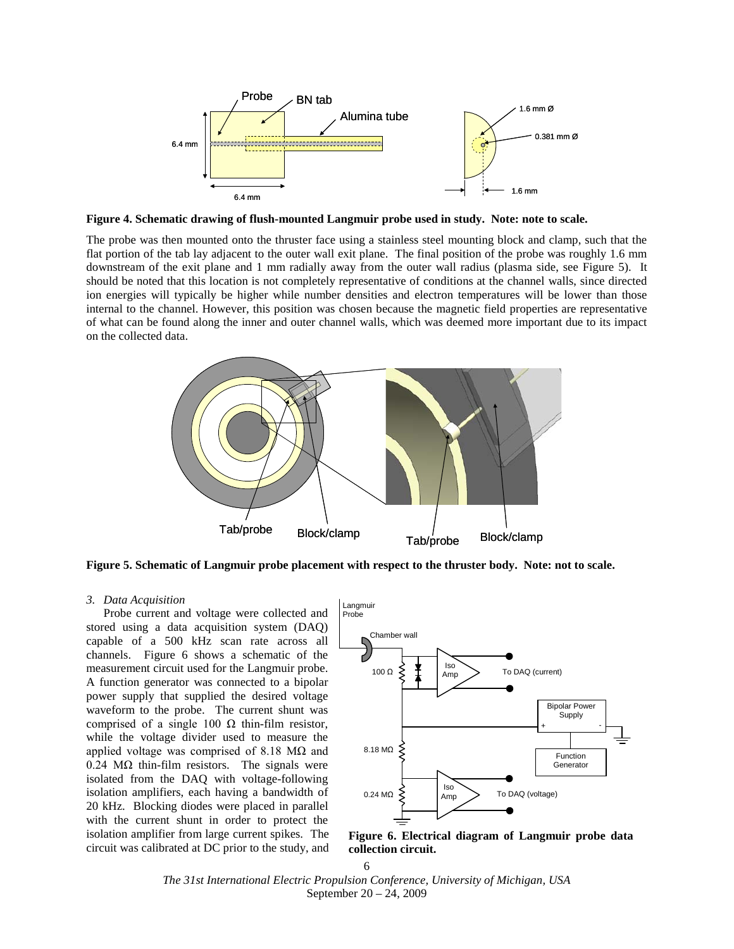

<span id="page-5-0"></span>**Figure 4. Schematic drawing of flush-mounted Langmuir probe used in study. Note: note to scale.**

The probe was then mounted onto the thruster face using a stainless steel mounting block and clamp, such that the flat portion of the tab lay adjacent to the outer wall exit plane. The final position of the probe was roughly 1.6 mm downstream of the exit plane and 1 mm radially away from the outer wall radius (plasma side, see [Figure 5\)](#page-5-1). It should be noted that this location is not completely representative of conditions at the channel walls, since directed ion energies will typically be higher while number densities and electron temperatures will be lower than those internal to the channel. However, this position was chosen because the magnetic field properties are representative of what can be found along the inner and outer channel walls, which was deemed more important due to its impact on the collected data.



<span id="page-5-1"></span>**Figure 5. Schematic of Langmuir probe placement with respect to the thruster body. Note: not to scale.**

#### *3. Data Acquisition*

Probe current and voltage were collected and stored using a data acquisition system (DAQ) capable of a 500 kHz scan rate across all channels. [Figure 6](#page-5-2) shows a schematic of the measurement circuit used for the Langmuir probe. A function generator was connected to a bipolar power supply that supplied the desired voltage waveform to the probe. The current shunt was comprised of a single 100  $Ω$  thin-film resistor, while the voltage divider used to measure the applied voltage was comprised of 8.18  $MΩ$  and  $0.24$  M $\Omega$  thin-film resistors. The signals were isolated from the DAQ with voltage-following isolation amplifiers, each having a bandwidth of 20 kHz. Blocking diodes were placed in parallel with the current shunt in order to protect the isolation amplifier from large current spikes. The circuit was calibrated at DC prior to the study, and



<span id="page-5-2"></span>**Figure 6. Electrical diagram of Langmuir probe data collection circuit.**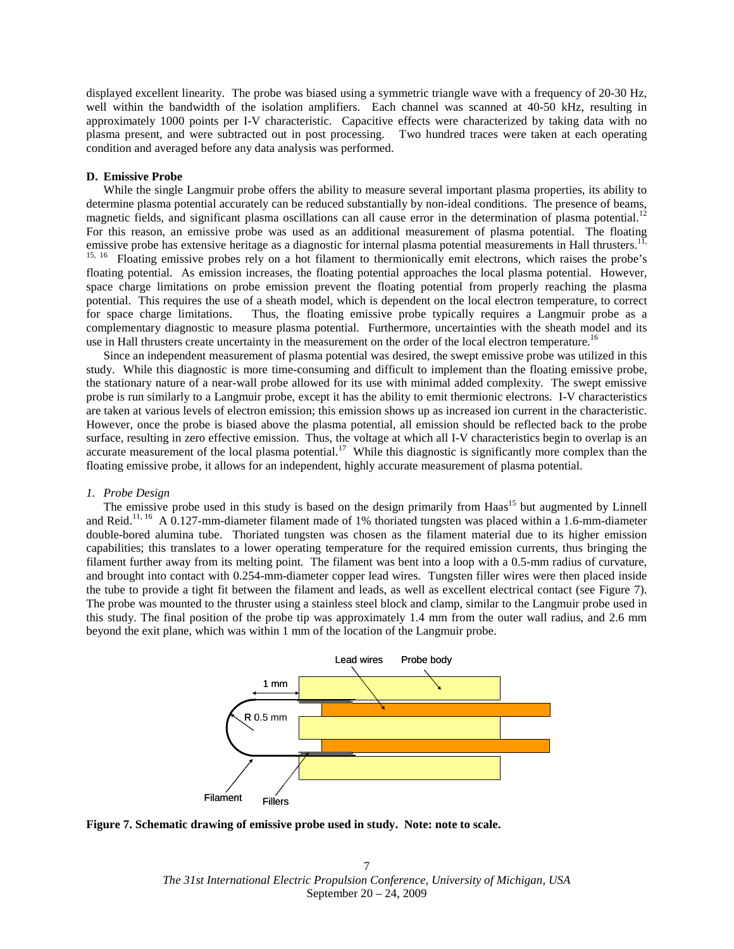displayed excellent linearity. The probe was biased using a symmetric triangle wave with a frequency of 20-30 Hz, well within the bandwidth of the isolation amplifiers. Each channel was scanned at 40-50 kHz, resulting in approximately 1000 points per I-V characteristic. Capacitive effects were characterized by taking data with no plasma present, and were subtracted out in post processing. Two hundred traces were taken at each operating condition and averaged before any data analysis was performed.

#### **D. Emissive Probe**

While the single Langmuir probe offers the ability to measure several important plasma properties, its ability to determine plasma potential accurately can be reduced substantially by non-ideal conditions. The presence of beams, magnetic fields, and significant plasma oscillations can all cause error in the determination of plasma potential.<sup>12</sup> For this reason, an emissive probe was used as an additional measurement of plasma potential. The floating emissive probe has extensive heritage as a diagnostic for internal plasma potential measurements in Hall thrusters.<sup>11,</sup> <sup>15, 16</sup> Floating emissive probes rely on a hot filament to thermionically emit electrons, which raises the probe's floating potential. As emission increases, the floating potential approaches the local plasma potential. However, space charge limitations on probe emission prevent the floating potential from properly reaching the plasma potential. This requires the use of a sheath model, which is dependent on the local electron temperature, to correct for space charge limitations. Thus, the floating emissive probe typically requires a Langmuir probe as a complementary diagnostic to measure plasma potential. Furthermore, uncertainties with the sheath model and its use in Hall thrusters create uncertainty in the measurement on the order of the local electron temperature.<sup>16</sup>

Since an independent measurement of plasma potential was desired, the swept emissive probe was utilized in this study. While this diagnostic is more time-consuming and difficult to implement than the floating emissive probe, the stationary nature of a near-wall probe allowed for its use with minimal added complexity. The swept emissive probe is run similarly to a Langmuir probe, except it has the ability to emit thermionic electrons. I-V characteristics are taken at various levels of electron emission; this emission shows up as increased ion current in the characteristic. However, once the probe is biased above the plasma potential, all emission should be reflected back to the probe surface, resulting in zero effective emission. Thus, the voltage at which all I-V characteristics begin to overlap is an accurate measurement of the local plasma potential.<sup>17</sup> While this diagnostic is significantly more complex than the floating emissive probe, it allows for an independent, highly accurate measurement of plasma potential.

### *1. Probe Design*

The emissive probe used in this study is based on the design primarily from Haas<sup>15</sup> but augmented by Linnell and Reid.<sup>11, 16</sup> A 0.127-mm-diameter filament made of 1% thoriated tungsten was placed within a 1.6-mm-diameter the tube to provide a tight fit between the filament and leads, as well as excellent electrical contact (see [Figure 7](#page-6-0)). double-bored alumina tube. Thoriated tungsten was chosen as the filament material due to its higher emission capabilities; this translates to a lower operating temperature for the required emission currents, thus bringing the filament further away from its melting point. The filament was bent into a loop with a 0.5-mm radius of curvature, and brought into contact with 0.254-mm-diameter copper lead wires. Tungsten filler wires were then placed inside The probe was mounted to the thruster using a stainless steel block and clamp, similar to the Langmuir probe used in this study. The final position of the probe tip was approximately 1.4 mm from the outer wall radius, and 2.6 mm beyond the exit plane, which was within 1 mm of the location of the Langmuir probe.



<span id="page-6-0"></span>**Figure 7. Schematic drawing of emissive probe used in study. Note: note to scale.**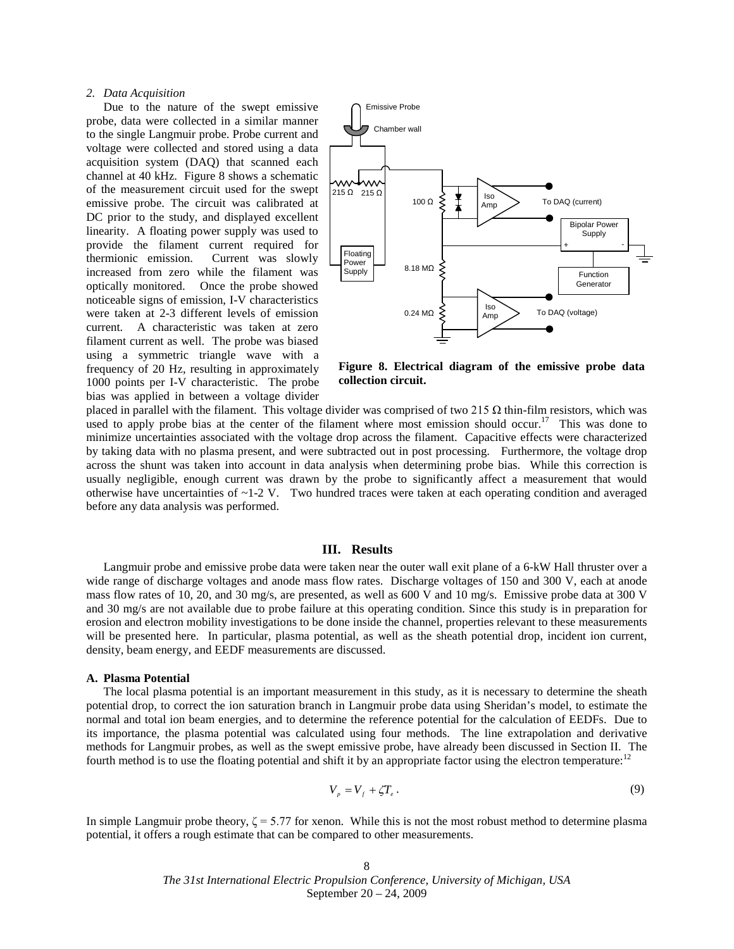## *2. Data Acquisition*

Due to the nature of the swept emissive probe, data were collected in a similar manner to the single Langmuir probe. Probe current and voltage were collected and stored using a data acquisition system (DAQ) that scanned each channel at 40 kHz. [Figure 8](#page-7-0) shows a schematic of the measurement circuit used for the swept emissive probe. The circuit was calibrated at DC prior to the study, and displayed excellent linearity. A floating power supply was used to provide the filament current required for thermionic emission. Current was slowly increased from zero while the filament was optically monitored. Once the probe showed noticeable signs of emission, I-V characteristics were taken at 2-3 different levels of emission current. A characteristic was taken at zero filament current as well. The probe was biased using a symmetric triangle wave with a frequency of 20 Hz, resulting in approximately 1000 points per I-V characteristic. The probe bias was applied in between a voltage divider



<span id="page-7-0"></span>**Figure 8. Electrical diagram of the emissive probe data collection circuit.**

placed in parallel with the filament. This voltage divider was comprised of two 215  $\Omega$  thin-film resistors, which was used to apply probe bias at the center of the filament where most emission should occur.<sup>17</sup> This was done to minimize uncertainties associated with the voltage drop across the filament. Capacitive effects were characterized by taking data with no plasma present, and were subtracted out in post processing. Furthermore, the voltage drop across the shunt was taken into account in data analysis when determining probe bias. While this correction is usually negligible, enough current was drawn by the probe to significantly affect a measurement that would otherwise have uncertainties of ~1-2 V. Two hundred traces were taken at each operating condition and averaged before any data analysis was performed.

#### **III. Results**

Langmuir probe and emissive probe data were taken near the outer wall exit plane of a 6-kW Hall thruster over a wide range of discharge voltages and anode mass flow rates. Discharge voltages of 150 and 300 V, each at anode mass flow rates of 10, 20, and 30 mg/s, are presented, as well as 600 V and 10 mg/s. Emissive probe data at 300 V and 30 mg/s are not available due to probe failure at this operating condition. Since this study is in preparation for erosion and electron mobility investigations to be done inside the channel, properties relevant to these measurements will be presented here. In particular, plasma potential, as well as the sheath potential drop, incident ion current, density, beam energy, and EEDF measurements are discussed.

## **A. Plasma Potential**

The local plasma potential is an important measurement in this study, as it is necessary to determine the sheath potential drop, to correct the ion saturation branch in Langmuir probe data using Sheridan's model, to estimate the normal and total ion beam energies, and to determine the reference potential for the calculation of EEDFs. Due to its importance, the plasma potential was calculated using four methods. The line extrapolation and derivative methods for Langmuir probes, as well as the swept emissive probe, have already been discussed in Section II. The fourth method is to use the floating potential and shift it by an appropriate factor using the electron temperature:<sup>12</sup>

$$
V_p = V_f + \zeta T_e \,. \tag{9}
$$

In simple Langmuir probe theory,  $\zeta = 5.77$  for xenon. While this is not the most robust method to determine plasma potential, it offers a rough estimate that can be compared to other measurements.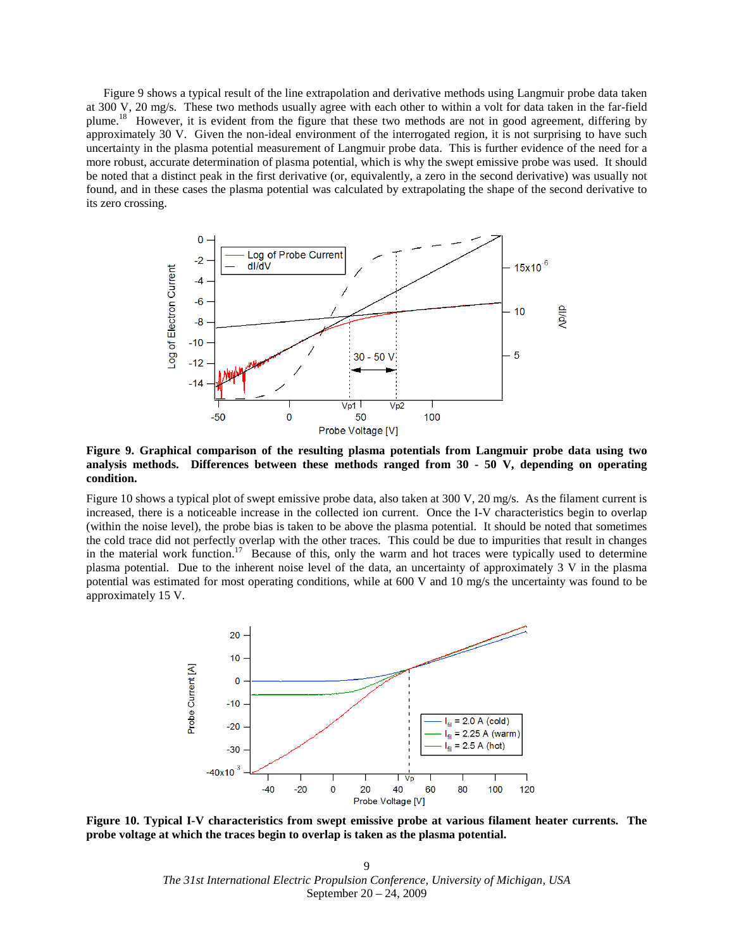[Figure 9](#page-8-0) shows a typical result of the line extrapolation and derivative methods using Langmuir probe data taken at 300 V, 20 mg/s. These two methods usually agree with each other to within a volt for data taken in the far-field plume.<sup>18</sup> However, it is evident from the figure that these two methods are not in good agreement, differing by approximately 30 V. Given the non-ideal environment of the interrogated region, it is not surprising to have such uncertainty in the plasma potential measurement of Langmuir probe data. This is further evidence of the need for a more robust, accurate determination of plasma potential, which is why the swept emissive probe was used. It should be noted that a distinct peak in the first derivative (or, equivalently, a zero in the second derivative) was usually not found, and in these cases the plasma potential was calculated by extrapolating the shape of the second derivative to its zero crossing.



<span id="page-8-0"></span>**Figure 9. Graphical comparison of the resulting plasma potentials from Langmuir probe data using two analysis methods. Differences between these methods ranged from 30 - 50 V, depending on operating condition.**

[Figure 10](#page-8-1) shows a typical plot of swept emissive probe data, also taken at 300 V, 20 mg/s. As the filament current is increased, there is a noticeable increase in the collected ion current. Once the I-V characteristics begin to overlap (within the noise level), the probe bias is taken to be above the plasma potential. It should be noted that sometimes the cold trace did not perfectly overlap with the other traces. This could be due to impurities that result in changes in the material work function.<sup>17</sup> Because of this, only the warm and hot traces were typically used to determine plasma potential. Due to the inherent noise level of the data, an uncertainty of approximately 3 V in the plasma potential was estimated for most operating conditions, while at 600 V and 10 mg/s the uncertainty was found to be approximately 15 V.



<span id="page-8-1"></span>**Figure 10. Typical I-V characteristics from swept emissive probe at various filament heater currents. The probe voltage at which the traces begin to overlap is taken as the plasma potential.**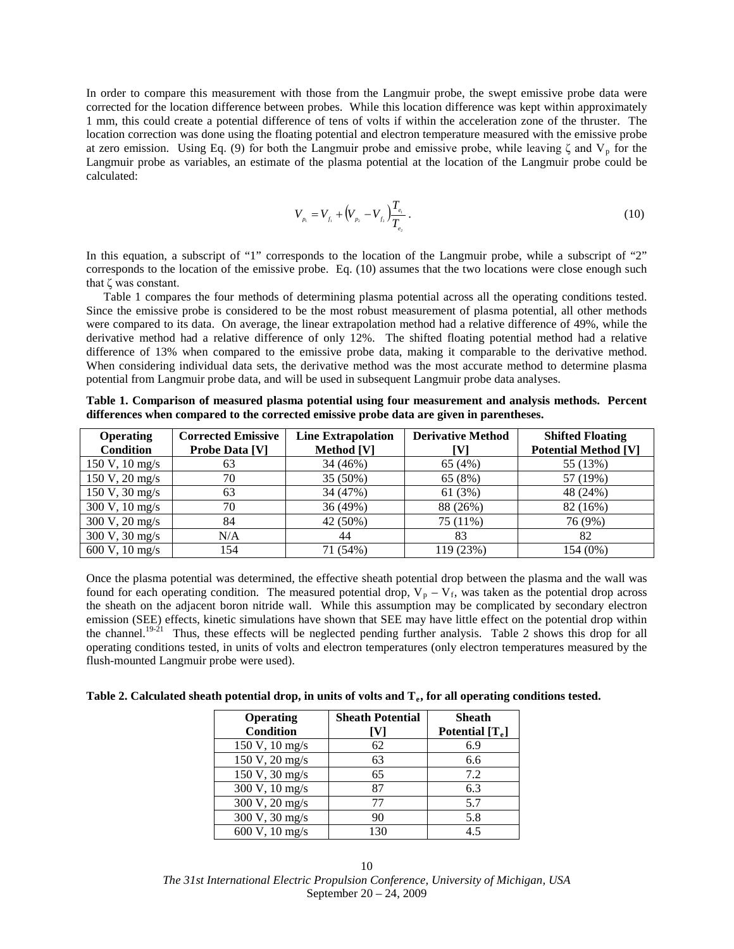In order to compare this measurement with those from the Langmuir probe, the swept emissive probe data were corrected for the location difference between probes. While this location difference was kept within approximately 1 mm, this could create a potential difference of tens of volts if within the acceleration zone of the thruster. The location correction was done using the floating potential and electron temperature measured with the emissive probe at zero emission. Using Eq. (9) for both the Langmuir probe and emissive probe, while leaving  $\zeta$  and  $V_p$  for the Langmuir probe as variables, an estimate of the plasma potential at the location of the Langmuir probe could be calculated:

$$
V_{p_1} = V_{f_1} + \left(V_{p_2} - V_{f_2}\right) \frac{T_{e_1}}{T_{e_2}}\,. \tag{10}
$$

In this equation, a subscript of "1" corresponds to the location of the Langmuir probe, while a subscript of "2" corresponds to the location of the emissive probe. Eq. (10) assumes that the two locations were close enough such that ζ was constant.

[Table 1](#page-9-0) compares the four methods of determining plasma potential across all the operating conditions tested. Since the emissive probe is considered to be the most robust measurement of plasma potential, all other methods were compared to its data. On average, the linear extrapolation method had a relative difference of 49%, while the derivative method had a relative difference of only 12%. The shifted floating potential method had a relative difference of 13% when compared to the emissive probe data, making it comparable to the derivative method. When considering individual data sets, the derivative method was the most accurate method to determine plasma potential from Langmuir probe data, and will be used in subsequent Langmuir probe data analyses.

| <b>Operating</b><br><b>Condition</b> | <b>Corrected Emissive</b><br><b>Probe Data [V]</b> | <b>Line Extrapolation</b><br>Method [V] | <b>Derivative Method</b><br>IV1 | <b>Shifted Floating</b><br><b>Potential Method [V]</b> |
|--------------------------------------|----------------------------------------------------|-----------------------------------------|---------------------------------|--------------------------------------------------------|
| $150 \text{ V}, 10 \text{ mg/s}$     | 63                                                 | 34 (46%)                                | 65 (4%)                         | 55 (13%)                                               |
| 150 V, 20 mg/s                       | 70                                                 | 35 (50%)                                | 65 (8%)                         | 57 (19%)                                               |
| $150 \text{ V}, 30 \text{ mg/s}$     | 63                                                 | 34 (47%)                                | 61(3%)                          | 48 (24%)                                               |
| $300 \text{ V}, 10 \text{ mg/s}$     | 70                                                 | 36 (49%)                                | 88 (26%)                        | 82 (16%)                                               |
| 300 V, 20 mg/s                       | 84                                                 | 42 (50%)                                | 75 (11%)                        | 76 (9%)                                                |
| 300 V, 30 mg/s                       | N/A                                                | 44                                      | 83                              | 82                                                     |
| 600 V, $10 \text{ mg/s}$             | 154                                                | 71 (54%)                                | 119 (23%)                       | 154 (0%)                                               |

<span id="page-9-0"></span>**Table 1. Comparison of measured plasma potential using four measurement and analysis methods. Percent differences when compared to the corrected emissive probe data are given in parentheses.** 

Once the plasma potential was determined, the effective sheath potential drop between the plasma and the wall was found for each operating condition. The measured potential drop,  $V_p - V_f$ , was taken as the potential drop across the sheath on the adjacent boron nitride wall. While this assumption may be complicated by secondary electron emission (SEE) effects, kinetic simulations have shown that SEE may have little effect on the potential drop within the channel.<sup>19-21</sup> Thus, these effects will be neglected pending further analysis. [Table 2](#page-9-1) shows this drop for all operating conditions tested, in units of volts and electron temperatures (only electron temperatures measured by the flush-mounted Langmuir probe were used).

<span id="page-9-1"></span>Table 2. Calculated sheath potential drop, in units of volts and T<sub>e</sub>, for all operating conditions tested.

| <b>Operating</b> | <b>Sheath Potential</b> | <b>Sheath</b>     |
|------------------|-------------------------|-------------------|
| <b>Condition</b> | ١٧.                     | Potential $[T_e]$ |
| 150 V, 10 mg/s   | 62                      | 6.9               |
| 150 V, 20 mg/s   | 63                      | 6.6               |
| 150 V, 30 mg/s   | 65                      | 7.2               |
| 300 V, 10 mg/s   | 87                      | 6.3               |
| 300 V, 20 mg/s   | 77                      | 5.7               |
| 300 V, 30 mg/s   | 90                      | 5.8               |
| 600 V, 10 mg/s   | 130                     | 4.5               |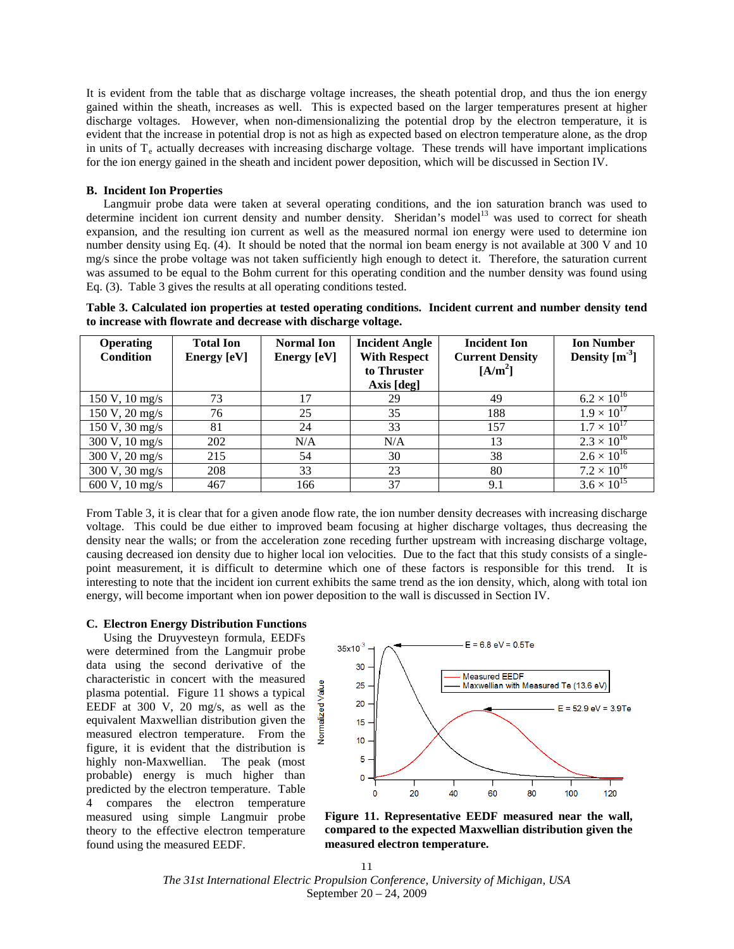It is evident from the table that as discharge voltage increases, the sheath potential drop, and thus the ion energy gained within the sheath, increases as well. This is expected based on the larger temperatures present at higher discharge voltages. However, when non-dimensionalizing the potential drop by the electron temperature, it is evident that the increase in potential drop is not as high as expected based on electron temperature alone, as the drop in units of  $T_e$  actually decreases with increasing discharge voltage. These trends will have important implications for the ion energy gained in the sheath and incident power deposition, which will be discussed in Section IV.

## **B. Incident Ion Properties**

Langmuir probe data were taken at several operating conditions, and the ion saturation branch was used to determine incident ion current density and number density. Sheridan's model<sup>13</sup> was used to correct for sheath Eq. (3). Table 3 gives the results at all operating conditions tested. expansion, and the resulting ion current as well as the measured normal ion energy were used to determine ion number density using Eq. (4). It should be noted that the normal ion beam energy is not available at 300 V and 10 mg/s since the probe voltage was not taken sufficiently high enough to detect it. Therefore, the saturation current was assumed to be equal to the Bohm current for this operating condition and the number density was found using

<span id="page-10-0"></span>**Table 3. Calculated ion properties at tested operating conditions. Incident current and number density tend to increase with flowrate and decrease with discharge voltage.**

| <b>Operating</b><br><b>Condition</b> | <b>Total Ion</b><br>Energy [eV] | <b>Normal Ion</b><br>Energy [eV] | <b>Incident Angle</b><br><b>With Respect</b><br>to Thruster<br>Axis [deg] | <b>Incident Ion</b><br><b>Current Density</b><br>$[A/m^2]$ | <b>Ion Number</b><br>Density $[m^3]$ |
|--------------------------------------|---------------------------------|----------------------------------|---------------------------------------------------------------------------|------------------------------------------------------------|--------------------------------------|
| 150 V, 10 mg/s                       | 73                              | 17                               | 29                                                                        | 49                                                         | $6.2 \times 10^{16}$                 |
| 150 V, 20 mg/s                       | 76                              | 25                               | 35                                                                        | 188                                                        | $1.9 \times 10^{17}$                 |
| $150 \text{ V}, 30 \text{ mg/s}$     | 81                              | 24                               | 33                                                                        | 157                                                        | $1.7 \times 10^{17}$                 |
| 300 V, 10 mg/s                       | 202                             | N/A                              | N/A                                                                       | 13                                                         | $2.3 \times 10^{16}$                 |
| $300 \text{ V}, 20 \text{ mg/s}$     | 215                             | 54                               | 30                                                                        | 38                                                         | $2.6 \times 10^{16}$                 |
| $300 \text{ V}, 30 \text{ mg/s}$     | 208                             | 33                               | 23                                                                        | 80                                                         | $7.2 \times 10^{16}$                 |
| 600 V, $10 \text{ mg/s}$             | 467                             | 166                              | 37                                                                        | 9.1                                                        | $3.6 \times 10^{15}$                 |

From [Table 3,](#page-10-0) it is clear that for a given anode flow rate, the ion number density decreases with increasing discharge voltage. This could be due either to improved beam focusing at higher discharge voltages, thus decreasing the density near the walls; or from the acceleration zone receding further upstream with increasing discharge voltage, causing decreased ion density due to higher local ion velocities. Due to the fact that this study consists of a singlepoint measurement, it is difficult to determine which one of these factors is responsible for this trend. It is interesting to note that the incident ion current exhibits the same trend as the ion density, which, along with total ion energy, will become important when ion power deposition to the wall is discussed in Section IV.

### **C. Electron Energy Distribution Functions**

Using the Druyvesteyn formula, EEDFs were determined from the Langmuir probe data using the second derivative of the characteristic in concert with the measured plasma potential. [Figure 11](#page-10-1) shows a typical EEDF at 300 V, 20 mg/s, as well as the equivalent Maxwellian distribution given the measured electron temperature. From the figure, it is evident that the distribution is highly non-Maxwellian. The peak (most probable) energy is much higher than predicted by the electron temperature. [Table](#page-11-0)  [4](#page-11-0) compares the electron temperature measured using simple Langmuir probe theory to the effective electron temperature found using the measured EEDF.



<span id="page-10-1"></span>**Figure 11. Representative EEDF measured near the wall, compared to the expected Maxwellian distribution given the measured electron temperature.**

*The 31st International Electric Propulsion Conference, University of Michigan, USA* September 20 – 24, 2009 11

Vormalized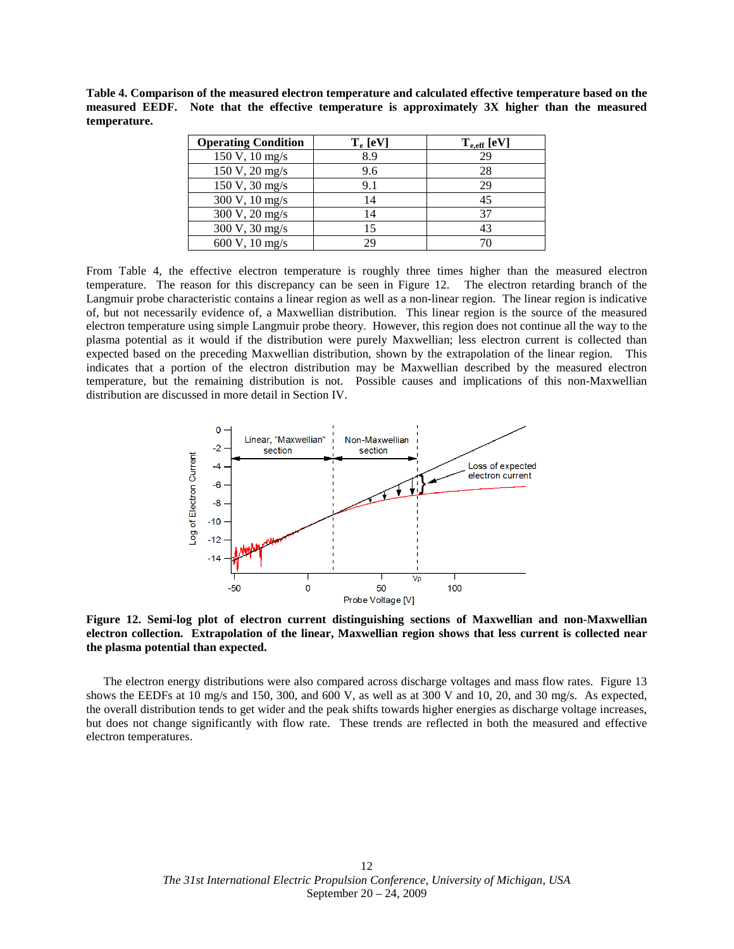<span id="page-11-0"></span>**Table 4. Comparison of the measured electron temperature and calculated effective temperature based on the measured EEDF. Note that the effective temperature is approximately 3X higher than the measured temperature.**

| <b>Operating Condition</b> | $T_e$ [eV] | $T_{\text{e,eff}}$ [eV] |
|----------------------------|------------|-------------------------|
| 150 V, 10 mg/s             | 8.9        | 29                      |
| 150 V, 20 mg/s             | 9.6        | 28                      |
| 150 V, 30 mg/s             | 9.1        | 29                      |
| 300 V, 10 mg/s             | 14         | 45                      |
| 300 V, 20 mg/s             | 14         | 37                      |
| 300 V, 30 mg/s             | 15         | 43                      |
| 600 V, $10 \text{ mg/s}$   | 29         |                         |

From [Table 4,](#page-11-0) the effective electron temperature is roughly three times higher than the measured electron temperature. The reason for this discrepancy can be seen in [Figure 12.](#page-11-1) The electron retarding branch of the Langmuir probe characteristic contains a linear region as well as a non-linear region. The linear region is indicative of, but not necessarily evidence of, a Maxwellian distribution. This linear region is the source of the measured electron temperature using simple Langmuir probe theory. However, this region does not continue all the way to the plasma potential as it would if the distribution were purely Maxwellian; less electron current is collected than expected based on the preceding Maxwellian distribution, shown by the extrapolation of the linear region. This indicates that a portion of the electron distribution may be Maxwellian described by the measured electron temperature, but the remaining distribution is not. Possible causes and implications of this non-Maxwellian distribution are discussed in more detail in Section IV.



<span id="page-11-1"></span>**Figure 12. Semi-log plot of electron current distinguishing sections of Maxwellian and non-Maxwellian electron collection. Extrapolation of the linear, Maxwellian region shows that less current is collected near the plasma potential than expected.**

The electron energy distributions were also compared across discharge voltages and mass flow rates. [Figure 13](#page-12-0) shows the EEDFs at 10 mg/s and 150, 300, and 600 V, as well as at 300 V and 10, 20, and 30 mg/s. As expected, the overall distribution tends to get wider and the peak shifts towards higher energies as discharge voltage increases, but does not change significantly with flow rate. These trends are reflected in both the measured and effective electron temperatures.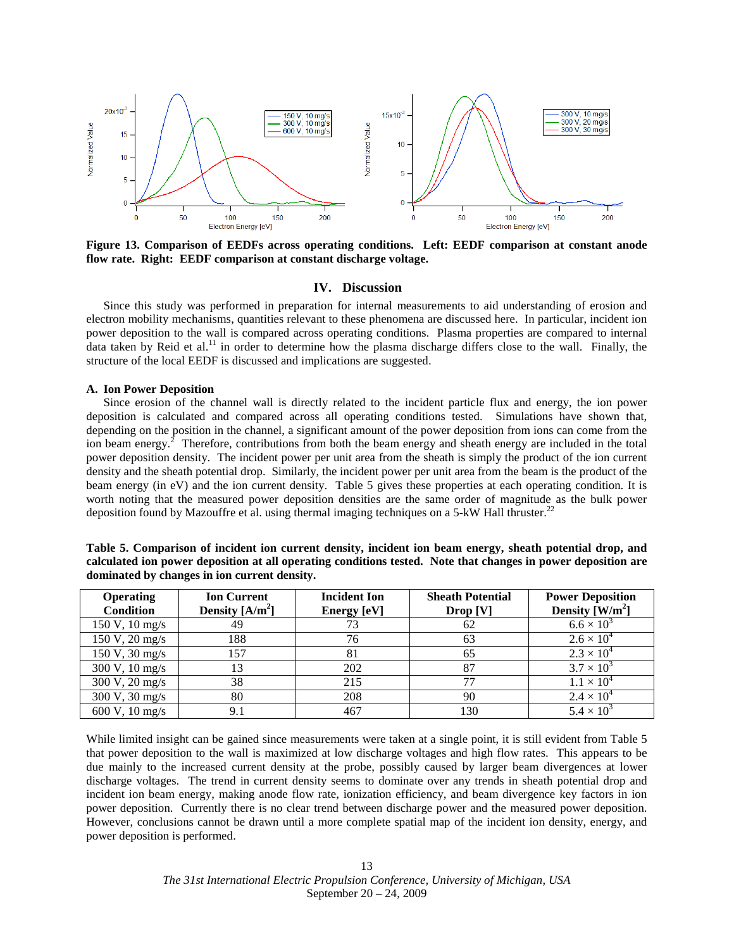

<span id="page-12-0"></span>**Figure 13. Comparison of EEDFs across operating conditions. Left: EEDF comparison at constant anode flow rate. Right: EEDF comparison at constant discharge voltage.**

#### **IV. Discussion**

Since this study was performed in preparation for internal measurements to aid understanding of erosion and electron mobility mechanisms, quantities relevant to these phenomena are discussed here. In particular, incident ion power deposition to the wall is compared across operating conditions. Plasma properties are compared to internal data taken by Reid et al.<sup>11</sup> in order to determine how the plasma discharge differs close to the wall. Finally, the structure of the local EEDF is discussed and implications are suggested.

#### **A. Ion Power Deposition**

Since erosion of the channel wall is directly related to the incident particle flux and energy, the ion power deposition is calculated and compared across all operating conditions tested. Simulations have shown that, depending on the position in the channel, a significant amount of the power deposition from ions can come from the ion beam energy.<sup>2</sup> Therefore, contributions from both the beam energy and sheath energy are included in the total beam energy (in eV) and the ion current density. Table 5 gives these properties at each operating condition. It is power deposition density. The incident power per unit area from the sheath is simply the product of the ion current density and the sheath potential drop. Similarly, the incident power per unit area from the beam is the product of the worth noting that the measured power deposition densities are the same order of magnitude as the bulk power deposition found by Mazouffre et al. using thermal imaging techniques on a 5-kW Hall thruster.<sup>22</sup>

<span id="page-12-1"></span>

| Table 5. Comparison of incident ion current density, incident ion beam energy, sheath potential drop, and     |  |
|---------------------------------------------------------------------------------------------------------------|--|
| calculated ion power deposition at all operating conditions tested. Note that changes in power deposition are |  |
| dominated by changes in ion current density.                                                                  |  |

| <b>Operating</b><br><b>Condition</b> | <b>Ion Current</b><br>Density $[A/m^2]$ | <b>Incident Ion</b><br>Energy [eV] | <b>Sheath Potential</b><br>Drop [V] | <b>Power Deposition</b><br>Density $[W/m^2]$ |
|--------------------------------------|-----------------------------------------|------------------------------------|-------------------------------------|----------------------------------------------|
| $150 \text{ V}, 10 \text{ mg/s}$     | 49                                      | 73                                 | 62                                  | $6.6 \times 10^{3}$                          |
| $150 \text{ V}, 20 \text{ mg/s}$     | 188                                     | 76                                 | 63                                  | $2.6 \times 10^{4}$                          |
| $150 \text{ V}, 30 \text{ mg/s}$     | 157                                     | 81                                 | 65                                  | $2.3 \times 10^{4}$                          |
| 300 V, 10 mg/s                       | 13                                      | 202                                | 87                                  | $3.7 \times 10^{3}$                          |
| 300 V, 20 mg/s                       | 38                                      | 215                                |                                     | $1.1 \times 10^{4}$                          |
| 300 V, 30 mg/s                       | 80                                      | 208                                | 90                                  | $2.4 \times 10^{4}$                          |
| 600 V, 10 mg/s                       | 9.1                                     | 467                                | 130                                 | $5.4 \times 10^{3}$                          |

While limited insight can be gained since measurements were taken at a single point, it is still evident from [Table 5](#page-12-1) that power deposition to the wall is maximized at low discharge voltages and high flow rates. This appears to be due mainly to the increased current density at the probe, possibly caused by larger beam divergences at lower discharge voltages. The trend in current density seems to dominate over any trends in sheath potential drop and incident ion beam energy, making anode flow rate, ionization efficiency, and beam divergence key factors in ion power deposition. Currently there is no clear trend between discharge power and the measured power deposition. However, conclusions cannot be drawn until a more complete spatial map of the incident ion density, energy, and power deposition is performed.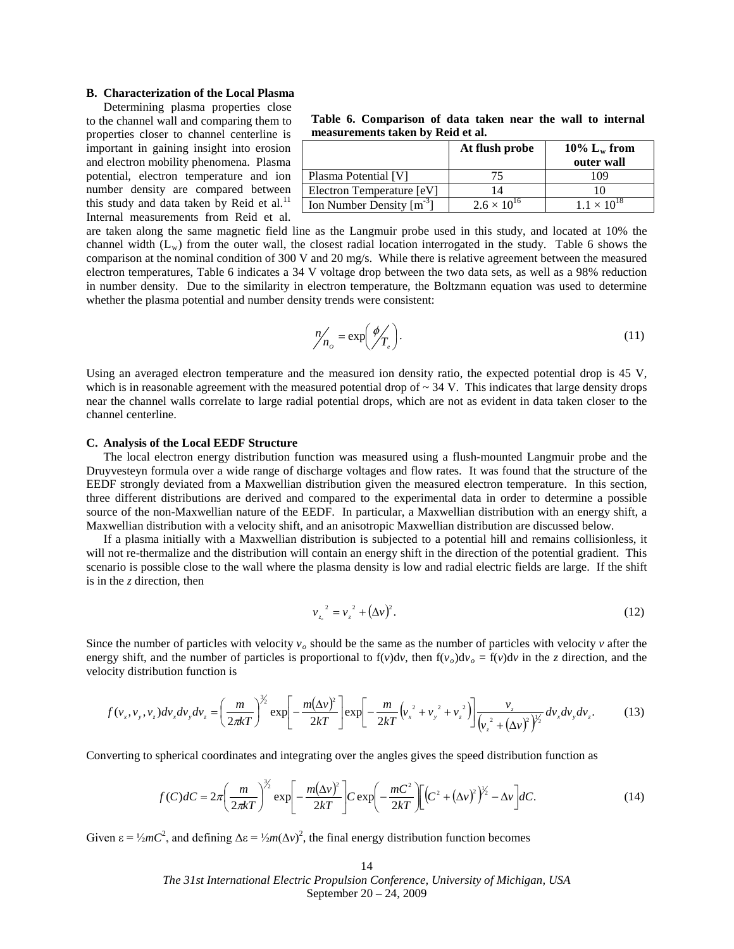# **B. Characterization of the Local Plasma**

Determining plasma properties close to the channel wall and comparing them to properties closer to channel centerline is important in gaining insight into erosion and electron mobility phenomena. Plasma potential, electron temperature and ion number density are compared between this study and data taken by Reid et al. $^{11}$ Internal measurements from Reid et al.

<span id="page-13-0"></span>**Table 6. Comparison of data taken near the wall to internal measurements taken by Reid et al.**

|                               | At flush probe       | 10% $L_w$ from       |
|-------------------------------|----------------------|----------------------|
|                               |                      | outer wall           |
| Plasma Potential [V]          |                      | 109                  |
| Electron Temperature [eV]     |                      |                      |
| Ion Number Density $[m^{-3}]$ | $2.6 \times 10^{16}$ | $1.1 \times 10^{18}$ |

are taken along the same magnetic field line as the Langmuir probe used in this study, and located at 10% the channel width  $(L_w)$  from the outer wall, the closest radial location interrogated in the study. [Table 6](#page-13-0) shows the comparison at the nominal condition of 300 V and 20 mg/s. While there is relative agreement between the measured electron temperatures, [Table 6](#page-13-0) indicates a 34 V voltage drop between the two data sets, as well as a 98% reduction in number density. Due to the similarity in electron temperature, the Boltzmann equation was used to determine whether the plasma potential and number density trends were consistent:

$$
n'_{n_o} = \exp\left(\frac{\phi}{T_e}\right). \tag{11}
$$

Using an averaged electron temperature and the measured ion density ratio, the expected potential drop is 45 V, which is in reasonable agreement with the measured potential drop of  $\sim$  34 V. This indicates that large density drops near the channel walls correlate to large radial potential drops, which are not as evident in data taken closer to the channel centerline.

#### **C. Analysis of the Local EEDF Structure**

The local electron energy distribution function was measured using a flush-mounted Langmuir probe and the Druyvesteyn formula over a wide range of discharge voltages and flow rates. It was found that the structure of the EEDF strongly deviated from a Maxwellian distribution given the measured electron temperature. In this section, three different distributions are derived and compared to the experimental data in order to determine a possible source of the non-Maxwellian nature of the EEDF. In particular, a Maxwellian distribution with an energy shift, a Maxwellian distribution with a velocity shift, and an anisotropic Maxwellian distribution are discussed below.

If a plasma initially with a Maxwellian distribution is subjected to a potential hill and remains collisionless, it will not re-thermalize and the distribution will contain an energy shift in the direction of the potential gradient. This scenario is possible close to the wall where the plasma density is low and radial electric fields are large. If the shift is in the *z* direction, then

$$
v_{z_o}^2 = v_z^2 + (\Delta v)^2. \tag{12}
$$

Since the number of particles with velocity  $v<sub>o</sub>$  should be the same as the number of particles with velocity  $v$  after the energy shift, and the number of particles is proportional to  $f(v)dv$ , then  $f(v_0)dv_0 = f(v)dv$  in the *z* direction, and the velocity distribution function is

$$
f(v_x, v_y, v_z) dv_x dv_y dv_z = \left(\frac{m}{2\pi kT}\right)^{3/2} \exp\left[-\frac{m(\Delta v)^2}{2kT}\right] \exp\left[-\frac{m}{2kT}\left(v_x^2 + v_y^2 + v_z^2\right)\right] \frac{v_z}{\left(v_z^2 + (\Delta v)^2\right)^{3/2}} dv_x dv_y dv_z.
$$
 (13)

Converting to spherical coordinates and integrating over the angles gives the speed distribution function as

$$
f(C)dC = 2\pi \left(\frac{m}{2\pi kT}\right)^{3/2} \exp\left[-\frac{m(\Delta v)^2}{2kT}\right] C \exp\left(-\frac{mC^2}{2kT}\right) \left[ \left(C^2 + (\Delta v)^2\right)^{1/2} - \Delta v \right] dC. \tag{14}
$$

Given  $\varepsilon = \frac{1}{2} mC^2$ , and defining  $\Delta \varepsilon = \frac{1}{2} m (\Delta v)^2$ , the final energy distribution function becomes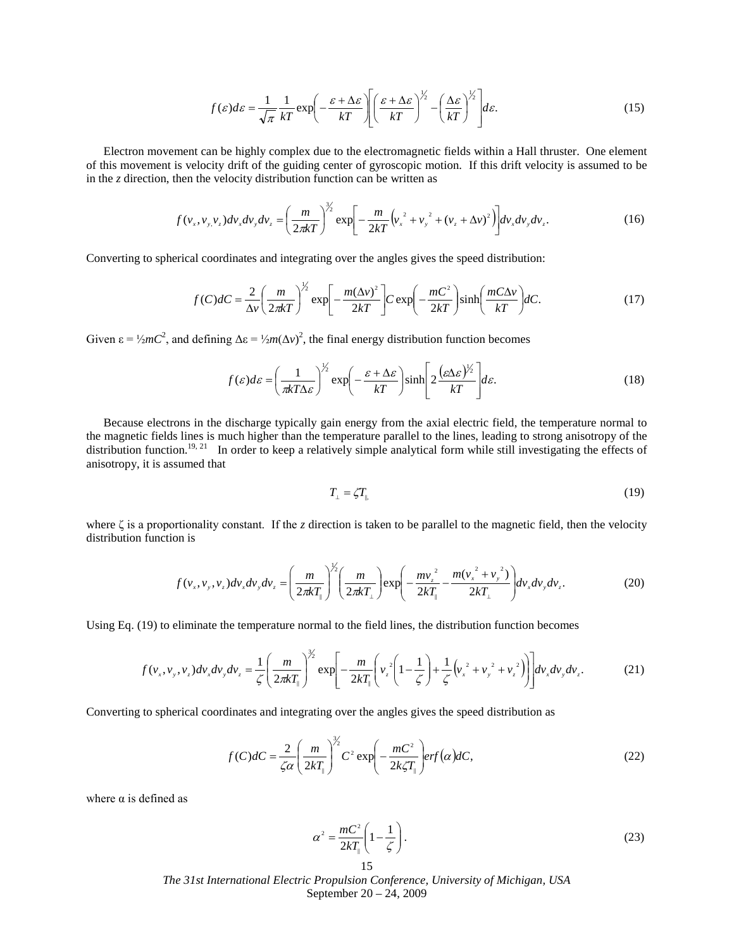$$
f(\varepsilon)d\varepsilon = \frac{1}{\sqrt{\pi}}\frac{1}{kT}\exp\left(-\frac{\varepsilon + \Delta\varepsilon}{kT}\right)\left[\frac{\varepsilon + \Delta\varepsilon}{kT}\right)^{\frac{1}{2}} - \left(\frac{\Delta\varepsilon}{kT}\right)^{\frac{1}{2}}d\varepsilon.
$$
 (15)

Electron movement can be highly complex due to the electromagnetic fields within a Hall thruster. One element of this movement is velocity drift of the guiding center of gyroscopic motion. If this drift velocity is assumed to be in the  $\zeta$  direction, then the velocity distribution function can be written as

$$
f(v_x, v_y, v_z)dv_x dv_y dv_z = \left(\frac{m}{2\pi kT}\right)^{3/2} \exp\left[-\frac{m}{2kT}\left(v_x^2 + v_y^2 + (v_z + \Delta v)^2\right)\right]dv_x dv_y dv_z.
$$
 (16)

Converting to spherical coordinates and integrating over the angles gives the speed distribution:

$$
f(C)dC = \frac{2}{\Delta v} \left(\frac{m}{2\pi kT}\right)^{1/2} \exp\left[-\frac{m(\Delta v)^2}{2kT}\right] C \exp\left(-\frac{mC^2}{2kT}\right) \sinh\left(\frac{mC\Delta v}{kT}\right) dC. \tag{17}
$$

Given  $\varepsilon = \frac{1}{2} mC^2$ , and defining  $\Delta \varepsilon = \frac{1}{2} m (\Delta v)^2$ , the final energy distribution function becomes

$$
f(\varepsilon)d\varepsilon = \left(\frac{1}{\pi kT\Delta\varepsilon}\right)^{1/2} \exp\left(-\frac{\varepsilon + \Delta\varepsilon}{kT}\right) \sinh\left[2\frac{(\varepsilon\Delta\varepsilon)^{1/2}}{kT}\right]d\varepsilon.
$$
 (18)

Because electrons in the discharge typically gain energy from the axial electric field, the temperature normal to the magnetic fields lines is much higher than the temperature parallel to the lines, leading to strong anisotropy of the distribution function.<sup>19, 21</sup> In order to keep a relatively simple analytical form while still investigating the effects of anisotropy, it is assumed that

$$
T_{\perp} = \zeta T_{\parallel} \tag{19}
$$

where ζ is a proportionality constant. If the *z* direction is taken to be parallel to the magnetic field, then the velocity distribution function is

$$
f(v_x, v_y, v_z) dv_x dv_y dv_z = \left(\frac{m}{2\pi kT_{\parallel}}\right)^{\frac{1}{2}} \left(\frac{m}{2\pi kT_{\perp}}\right) \exp\left(-\frac{mv_z^2}{2kT_{\parallel}} - \frac{m(v_x^2 + v_y^2)}{2kT_{\perp}}\right) dv_x dv_y dv_z.
$$
 (20)

Using Eq. (19) to eliminate the temperature normal to the field lines, the distribution function becomes

$$
f(v_x, v_y, v_z) dv_x dv_y dv_z = \frac{1}{\zeta} \left( \frac{m}{2\pi k T_{\parallel}} \right)^{3/2} \exp \left[ -\frac{m}{2k T_{\parallel}} \left( v_z^2 \left( 1 - \frac{1}{\zeta} \right) + \frac{1}{\zeta} \left( v_x^2 + v_y^2 + v_z^2 \right) \right) \right] dv_x dv_y dv_z.
$$
 (21)

Converting to spherical coordinates and integrating over the angles gives the speed distribution as

$$
f(C)dC = \frac{2}{\zeta \alpha} \left(\frac{m}{2kT_{\parallel}}\right)^{\frac{3}{2}} C^2 \exp\left(-\frac{mC^2}{2k\zeta T_{\parallel}}\right) erf(\alpha)dC, \tag{22}
$$

where  $\alpha$  is defined as

$$
\alpha^2 = \frac{mC^2}{2kT_{\parallel}} \left( 1 - \frac{1}{\zeta} \right). \tag{23}
$$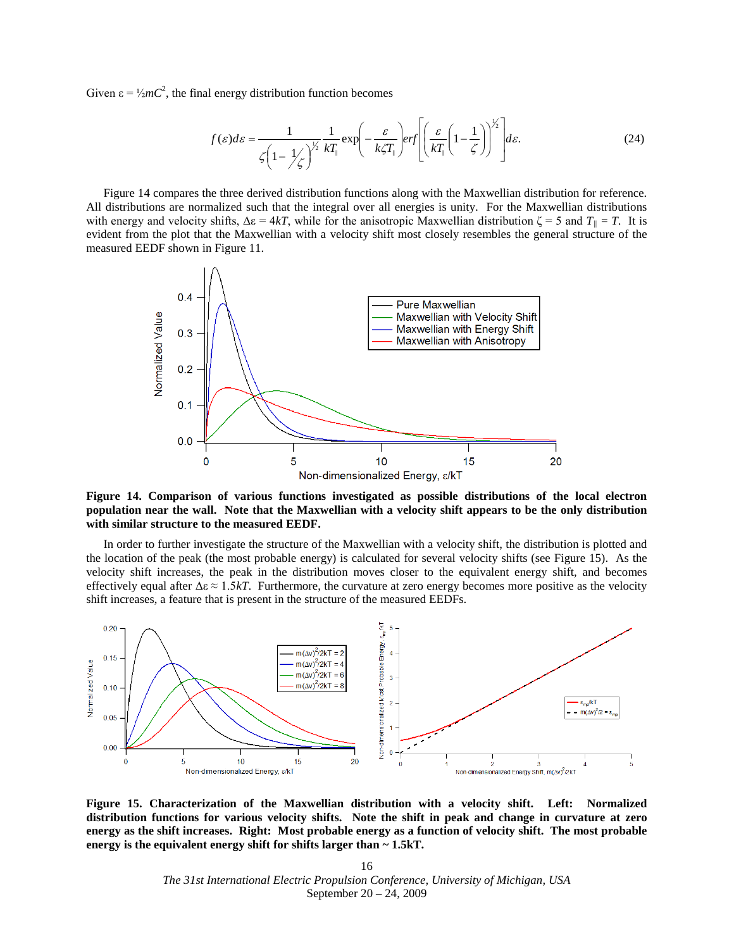Given  $\varepsilon = \frac{1}{2} mC^2$ , the final energy distribution function becomes

$$
f(\varepsilon)d\varepsilon = \frac{1}{\zeta\left(1-\frac{1}{\zeta}\right)^{\frac{1}{2}}kT_{\parallel}}\exp\left(-\frac{\varepsilon}{k\zeta T_{\parallel}}\right)erf\left[\left(\frac{\varepsilon}{kT_{\parallel}}\left(1-\frac{1}{\zeta}\right)\right)^{\frac{1}{2}}\right]d\varepsilon.
$$
 (24)

[Figure 14](#page-15-0) compares the three derived distribution functions along with the Maxwellian distribution for reference. All distributions are normalized such that the integral over all energies is unity. For the Maxwellian distributions with energy and velocity shifts,  $\Delta \varepsilon = 4kT$ , while for the anisotropic Maxwellian distribution  $\zeta = 5$  and  $T_{\parallel} = T$ . It is measured EEDF shown in Figure 11. evident from the plot that the Maxwellian with a velocity shift most closely resembles the general structure of the



<span id="page-15-0"></span>**Figure 14. Comparison of various functions investigated as possible distributions of the local electron population near the wall. Note that the Maxwellian with a velocity shift appears to be the only distribution with similar structure to the measured EEDF.**

In order to further investigate the structure of the Maxwellian with a velocity shift, the distribution is plotted and the location of the peak (the most probable energy) is calculated for several velocity shifts (see [Figure 15\)](#page-15-1). As the velocity shift increases, the peak in the distribution moves closer to the equivalent energy shift, and becomes effectively equal after  $\Delta \varepsilon \approx 1.5kT$ . Furthermore, the curvature at zero energy becomes more positive as the velocity shift increases, a feature that is present in the structure of the measured EEDFs.



<span id="page-15-1"></span>**Figure 15. Characterization of the Maxwellian distribution with a velocity shift. Left: Normalized distribution functions for various velocity shifts. Note the shift in peak and change in curvature at zero energy as the shift increases. Right: Most probable energy as a function of velocity shift. The most probable energy is the equivalent energy shift for shifts larger than ~ 1.5kT.**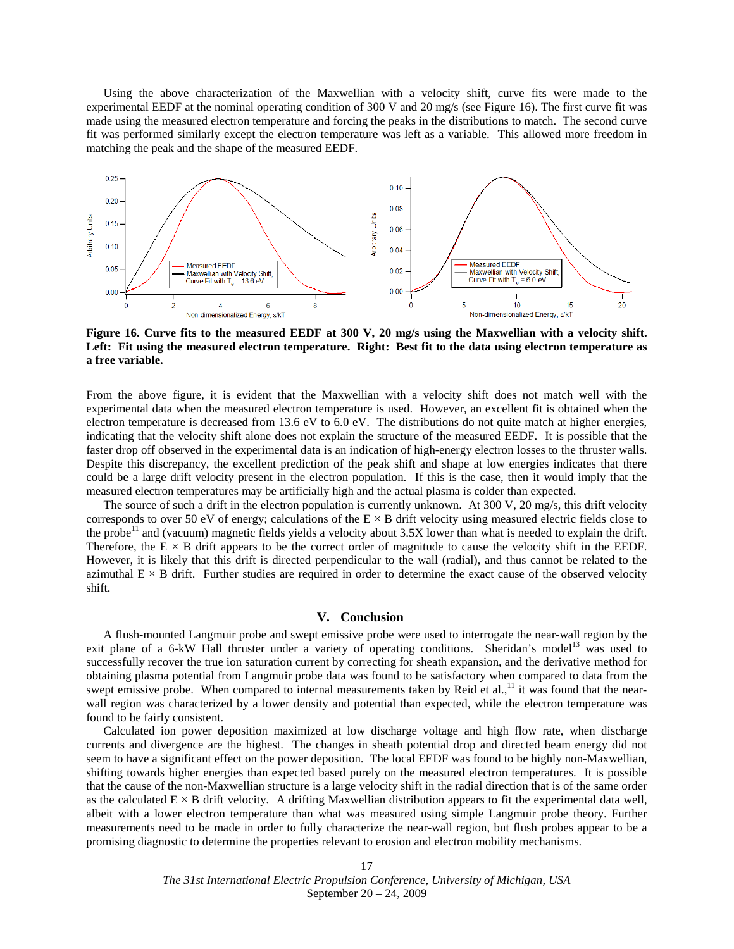Using the above characterization of the Maxwellian with a velocity shift, curve fits were made to the experimental EEDF at the nominal operating condition of 300 V and 20 mg/s (see [Figure 16\)](#page-16-0). The first curve fit was made using the measured electron temperature and forcing the peaks in the distributions to match. The second curve fit was performed similarly except the electron temperature was left as a variable. This allowed more freedom in matching the peak and the shape of the measured EEDF.



<span id="page-16-0"></span>**Figure 16. Curve fits to the measured EEDF at 300 V, 20 mg/s using the Maxwellian with a velocity shift. Left: Fit using the measured electron temperature. Right: Best fit to the data using electron temperature as a free variable.**

From the above figure, it is evident that the Maxwellian with a velocity shift does not match well with the experimental data when the measured electron temperature is used. However, an excellent fit is obtained when the electron temperature is decreased from 13.6 eV to 6.0 eV. The distributions do not quite match at higher energies, indicating that the velocity shift alone does not explain the structure of the measured EEDF. It is possible that the faster drop off observed in the experimental data is an indication of high-energy electron losses to the thruster walls. Despite this discrepancy, the excellent prediction of the peak shift and shape at low energies indicates that there could be a large drift velocity present in the electron population. If this is the case, then it would imply that the measured electron temperatures may be artificially high and the actual plasma is colder than expected.

The source of such a drift in the electron population is currently unknown. At 300 V, 20 mg/s, this drift velocity corresponds to over 50 eV of energy; calculations of the  $E \times B$  drift velocity using measured electric fields close to the probe<sup>11</sup> and (vacuum) magnetic fields yields a velocity about  $3.5X$  lower than what is needed to explain the drift. Therefore, the  $E \times B$  drift appears to be the correct order of magnitude to cause the velocity shift in the EEDF. However, it is likely that this drift is directed perpendicular to the wall (radial), and thus cannot be related to the azimuthal  $E \times B$  drift. Further studies are required in order to determine the exact cause of the observed velocity shift.

#### **V. Conclusion**

A flush-mounted Langmuir probe and swept emissive probe were used to interrogate the near-wall region by the exit plane of a 6-kW Hall thruster under a variety of operating conditions. Sheridan's model<sup>13</sup> was used to successfully recover the true ion saturation current by correcting for sheath expansion, and the derivative method for obtaining plasma potential from Langmuir probe data was found to be satisfactory when compared to data from the swept emissive probe. When compared to internal measurements taken by Reid et al.,<sup>11</sup> it was found that the nearwall region was characterized by a lower density and potential than expected, while the electron temperature was found to be fairly consistent.

Calculated ion power deposition maximized at low discharge voltage and high flow rate, when discharge currents and divergence are the highest. The changes in sheath potential drop and directed beam energy did not seem to have a significant effect on the power deposition. The local EEDF was found to be highly non-Maxwellian, shifting towards higher energies than expected based purely on the measured electron temperatures. It is possible that the cause of the non-Maxwellian structure is a large velocity shift in the radial direction that is of the same order as the calculated  $E \times B$  drift velocity. A drifting Maxwellian distribution appears to fit the experimental data well, albeit with a lower electron temperature than what was measured using simple Langmuir probe theory. Further measurements need to be made in order to fully characterize the near-wall region, but flush probes appear to be a promising diagnostic to determine the properties relevant to erosion and electron mobility mechanisms.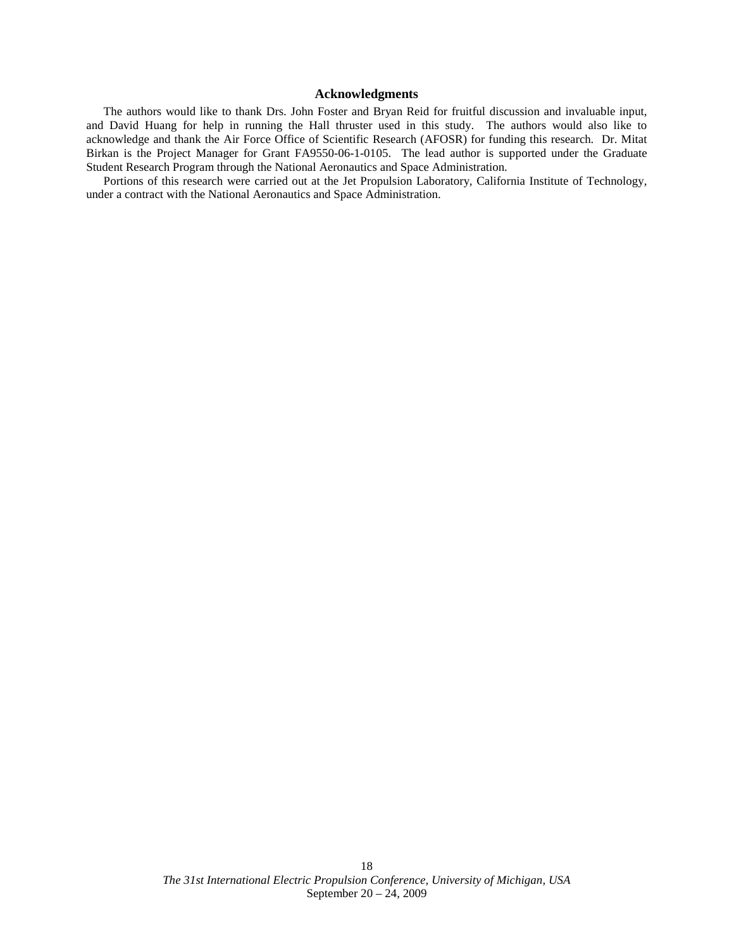## **Acknowledgments**

The authors would like to thank Drs. John Foster and Bryan Reid for fruitful discussion and invaluable input, and David Huang for help in running the Hall thruster used in this study. The authors would also like to acknowledge and thank the Air Force Office of Scientific Research (AFOSR) for funding this research. Dr. Mitat Birkan is the Project Manager for Grant FA9550-06-1-0105. The lead author is supported under the Graduate Student Research Program through the National Aeronautics and Space Administration.

Portions of this research were carried out at the Jet Propulsion Laboratory, California Institute of Technology, under a contract with the National Aeronautics and Space Administration.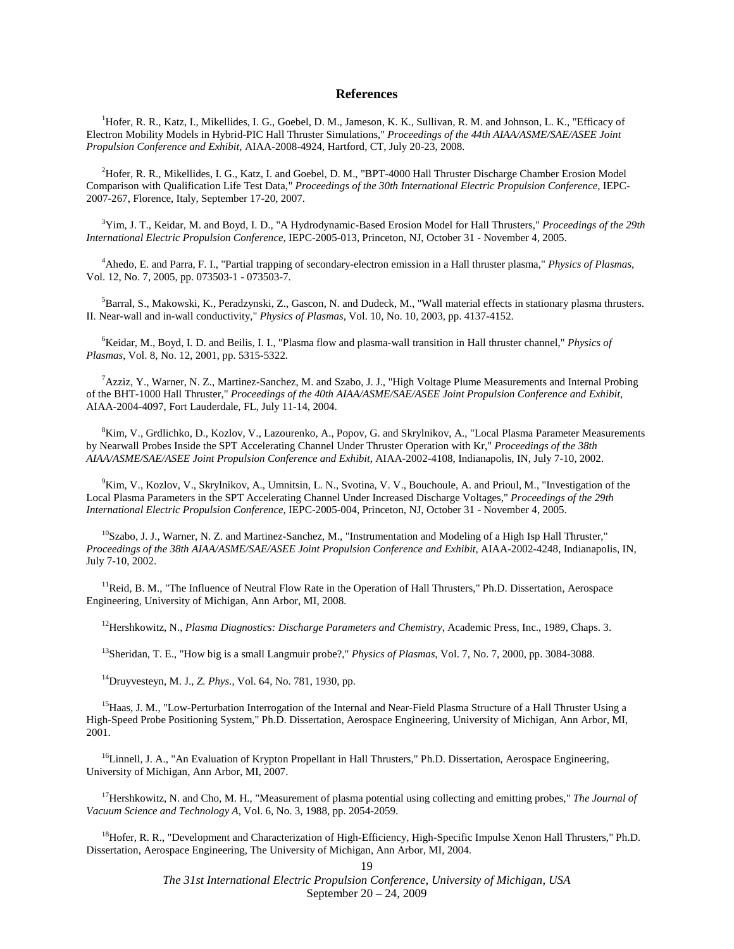### **References**

<sup>1</sup>Hofer, R. R., Katz, I., Mikellides, I. G., Goebel, D. M., Jameson, K. K., Sullivan, R. M. and Johnson, L. K., "Efficacy of Electron Mobility Models in Hybrid-PIC Hall Thruster Simulations," *Proceedings of the 44th AIAA/ASME/SAE/ASEE Joint Propulsion Conference and Exhibit*, AIAA-2008-4924, Hartford, CT, July 20-23, 2008.

2 Hofer, R. R., Mikellides, I. G., Katz, I. and Goebel, D. M., "BPT-4000 Hall Thruster Discharge Chamber Erosion Model Comparison with Qualification Life Test Data," *Proceedings of the 30th International Electric Propulsion Conference*, IEPC-2007-267, Florence, Italy, September 17-20, 2007.

3 Yim, J. T., Keidar, M. and Boyd, I. D., "A Hydrodynamic-Based Erosion Model for Hall Thrusters," *Proceedings of the 29th International Electric Propulsion Conference*, IEPC-2005-013, Princeton, NJ, October 31 - November 4, 2005.

4 Ahedo, E. and Parra, F. I., "Partial trapping of secondary-electron emission in a Hall thruster plasma," *Physics of Plasmas*, Vol. 12, No. 7, 2005, pp. 073503-1 - 073503-7.

<sup>5</sup>Barral, S., Makowski, K., Peradzynski, Z., Gascon, N. and Dudeck, M., "Wall material effects in stationary plasma thrusters. II. Near-wall and in-wall conductivity," *Physics of Plasmas*, Vol. 10, No. 10, 2003, pp. 4137-4152.

6 Keidar, M., Boyd, I. D. and Beilis, I. I., "Plasma flow and plasma-wall transition in Hall thruster channel," *Physics of Plasmas*, Vol. 8, No. 12, 2001, pp. 5315-5322.

7 Azziz, Y., Warner, N. Z., Martinez-Sanchez, M. and Szabo, J. J., "High Voltage Plume Measurements and Internal Probing of the BHT-1000 Hall Thruster," *Proceedings of the 40th AIAA/ASME/SAE/ASEE Joint Propulsion Conference and Exhibit*, AIAA-2004-4097, Fort Lauderdale, FL, July 11-14, 2004.

<sup>8</sup>Kim, V., Grdlichko, D., Kozlov, V., Lazourenko, A., Popov, G. and Skrylnikov, A., "Local Plasma Parameter Measurements by Nearwall Probes Inside the SPT Accelerating Channel Under Thruster Operation with Kr," *Proceedings of the 38th AIAA/ASME/SAE/ASEE Joint Propulsion Conference and Exhibit*, AIAA-2002-4108, Indianapolis, IN, July 7-10, 2002.

<sup>9</sup>Kim, V., Kozlov, V., Skrylnikov, A., Umnitsin, L. N., Svotina, V. V., Bouchoule, A. and Prioul, M., "Investigation of the Local Plasma Parameters in the SPT Accelerating Channel Under Increased Discharge Voltages," *Proceedings of the 29th International Electric Propulsion Conference*, IEPC-2005-004, Princeton, NJ, October 31 - November 4, 2005.

 $10$ Szabo, J. J., Warner, N. Z. and Martinez-Sanchez, M., "Instrumentation and Modeling of a High Isp Hall Thruster," *Proceedings of the 38th AIAA/ASME/SAE/ASEE Joint Propulsion Conference and Exhibit*, AIAA-2002-4248, Indianapolis, IN, July 7-10, 2002.

 $<sup>11</sup>$ Reid, B. M., "The Influence of Neutral Flow Rate in the Operation of Hall Thrusters," Ph.D. Dissertation, Aerospace</sup> Engineering, University of Michigan, Ann Arbor, MI, 2008.

12Hershkowitz, N., *Plasma Diagnostics: Discharge Parameters and Chemistry*, Academic Press, Inc., 1989, Chaps. 3.

13Sheridan, T. E., "How big is a small Langmuir probe?," *Physics of Plasmas*, Vol. 7, No. 7, 2000, pp. 3084-3088.

14Druyvesteyn, M. J., *Z. Phys.*, Vol. 64, No. 781, 1930, pp.

<sup>15</sup> Haas, J. M., "Low-Perturbation Interrogation of the Internal and Near-Field Plasma Structure of a Hall Thruster Using a High-Speed Probe Positioning System," Ph.D. Dissertation, Aerospace Engineering, University of Michigan, Ann Arbor, MI, 2001.

 $<sup>16</sup>$ Linnell, J. A., "An Evaluation of Krypton Propellant in Hall Thrusters," Ph.D. Dissertation, Aerospace Engineering,</sup> University of Michigan, Ann Arbor, MI, 2007.

<sup>17</sup>Hershkowitz, N. and Cho, M. H., "Measurement of plasma potential using collecting and emitting probes," *The Journal of Vacuum Science and Technology A*, Vol. 6, No. 3, 1988, pp. 2054-2059.

<sup>18</sup>Hofer, R. R., "Development and Characterization of High-Efficiency, High-Specific Impulse Xenon Hall Thrusters," Ph.D. Dissertation, Aerospace Engineering, The University of Michigan, Ann Arbor, MI, 2004.

19